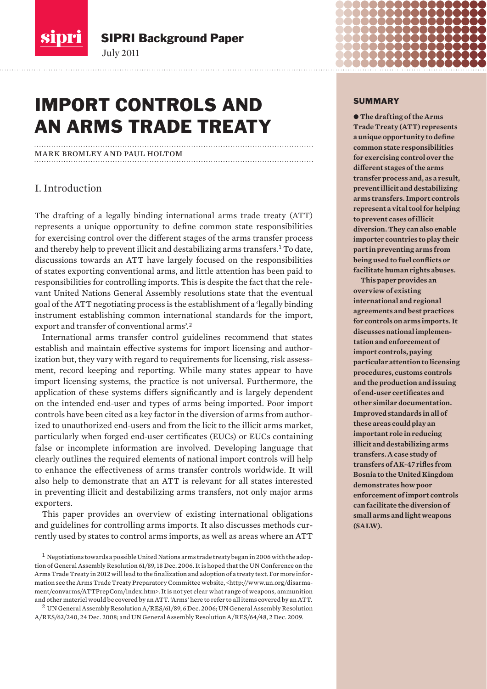

# IMPORT CONTROLS AND AN ARMS TRADE TREATY

mark bromley and paul holtom

July 2011

## I. Introduction

The drafting of a legally binding international arms trade treaty (ATT) represents a unique opportunity to define common state responsibilities for exercising control over the different stages of the arms transfer process and thereby help to prevent illicit and destabilizing arms transfers.<sup>1</sup> To date, discussions towards an ATT have largely focused on the responsibilities of states exporting conventional arms, and little attention has been paid to responsibilities for controlling imports. This is despite the fact that the relevant United Nations General Assembly resolutions state that the eventual goal of the ATT negotiating process is the establishment of a 'legally binding instrument establishing common international standards for the import, export and transfer of conventional arms'.<sup>2</sup>

International arms transfer control guidelines recommend that states establish and maintain effective systems for import licensing and authorization but, they vary with regard to requirements for licensing, risk assessment, record keeping and reporting. While many states appear to have import licensing systems, the practice is not universal. Furthermore, the application of these systems differs significantly and is largely dependent on the intended end-user and types of arms being imported. Poor import controls have been cited as a key factor in the diversion of arms from authorized to unauthorized end-users and from the licit to the illicit arms market, particularly when forged end-user certificates (EUCs) or EUCs containing false or incomplete information are involved. Developing language that clearly outlines the required elements of national import controls will help to enhance the effectiveness of arms transfer controls worldwide. It will also help to demonstrate that an ATT is relevant for all states interested in preventing illicit and destabilizing arms transfers, not only major arms exporters.

This paper provides an overview of existing international obligations and guidelines for controlling arms imports. It also discusses methods currently used by states to control arms imports, as well as areas where an ATT

#### SUMMARY

 $\bullet$  The drafting of the Arms **Trade Treaty (ATT) represents a unique opportunity to define common state responsibilities for exercising control over the different stages of the arms transfer process and, as a result, prevent illicit and destabilizing arms transfers. Import controls represent a vital tool for helping to prevent cases of illicit diversion. They can also enable importer countries to play their part in preventing arms from being used to fuel conflicts or facilitate human rights abuses.** 

**This paper provides an overview of existing international and regional agreements and best practices for controls on arms imports. It discusses national implementation and enforce ment of import controls, paying particular attention to licensing procedures, customs controls and the production and issuing of end-user certificates and other similar documentation. Improved standards in all of these areas could play an important role in reducing illicit and destabilizing arms transfers. A case study of transfers of AK-47 rifles from Bosnia to the United Kingdom demonstrates how poor enforce ment of import controls can facilitate the diversion of small arms and light weapons (SALW).**

 $^1$  Negotiations towards a possible United Nations arms trade treaty began in 2006 with the adoption of General Assembly Resolution 61/89, 18 Dec. 2006. It is hoped that the UN Conference on the Arms Trade Treaty in 2012 will lead to the finalization and adoption of a treaty text. For more information see the Arms Trade Treaty Preparatory Committee website, <http://www.un.org/disarmament/convarms/ATTPrepCom/index.htm>. It is not yet clear what range of weapons, ammunition and other materiel would be covered by an ATT. 'Arms' here to refer to all items covered by an ATT.

<sup>2</sup>UN General Assembly Resolution A/RES/61/89, 6 Dec. 2006; UN General Assembly Resolution A/RES/63/240, 24 Dec. 2008; and UN General Assembly Resolution A/RES/64/48, 2 Dec. 2009.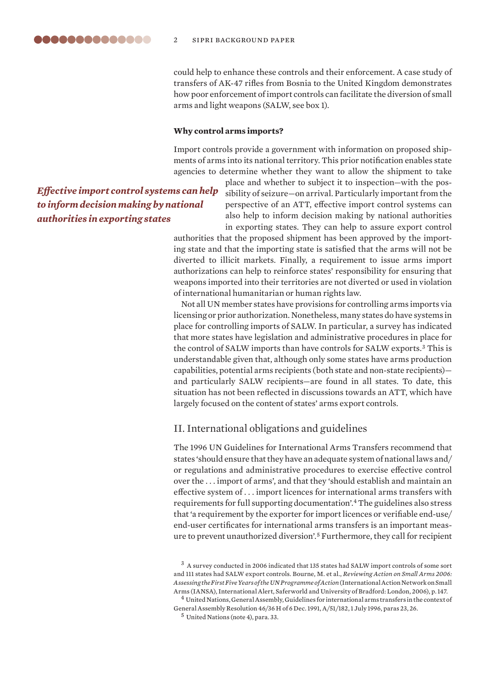could help to enhance these controls and their enforcement. A case study of transfers of AK-47 rifles from Bosnia to the United Kingdom demonstrates how poor enforcement of import controls can facilitate the diversion of small arms and light weapons (SALW, see box 1).

#### **Why control arms imports?**

Import controls provide a government with information on proposed shipments of arms into its national territory. This prior notification enables state agencies to determine whether they want to allow the shipment to take

## *Effective import control systems can help to inform decision making by national authorities in exporting states*

place and whether to subject it to inspection—with the possibility of seizure—on arrival. Particularly important from the perspective of an ATT, effective import control systems can also help to inform decision making by national authorities in exporting states. They can help to assure export control

authorities that the proposed shipment has been approved by the importing state and that the importing state is satisfied that the arms will not be diverted to illicit markets. Finally, a requirement to issue arms import authorizations can help to reinforce states' responsibility for ensuring that weapons imported into their territories are not diverted or used in violation of international humanitarian or human rights law.

Not all UN member states have provisions for controlling arms imports via licensing or prior authorization. Nonetheless, many states do have systems in place for controlling imports of SALW. In particular, a survey has indicated that more states have legislation and administrative procedures in place for the control of SALW imports than have controls for SALW exports.<sup>3</sup> This is understandable given that, although only some states have arms production capabilities, potential arms recipients (both state and non-state recipients) and particularly SALW recipients—are found in all states. To date, this situation has not been reflected in discussions towards an ATT, which have largely focused on the content of states' arms export controls.

### II. International obligations and guidelines

The 1996 UN Guidelines for International Arms Transfers recommend that states 'should ensure that they have an adequate system of national laws and/ or regulations and administrative procedures to exercise effective control over the . . . import of arms', and that they 'should establish and maintain an effective system of . . . import licences for international arms transfers with requirements for full supporting documentation'.<sup>4</sup> The guidelines also stress that 'a requirement by the exporter for import licences or verifiable end-use/ end-user certificates for international arms transfers is an important measure to prevent unauthorized diversion'.<sup>5</sup> Furthermore, they call for recipient

<sup>5</sup> United Nations (note 4), para. 33.

<sup>3</sup>A survey conducted in 2006 indicated that 135 states had SALW import controls of some sort and 111 states had SALW export controls. Bourne, M. et al., *Reviewing Action on Small Arms 2006: Assessing the First Five Years of the UN Programme of Action* (International Action Network on Small Arms (IANSA), International Alert, Saferworld and University of Bradford: London, 2006), p. 147.

 $^4$  United Nations, General Assembly, Guidelines for international arms transfers in the context of General Assembly Resolution 46/36 H of 6 Dec. 1991, A/51/182, 1 July 1996, paras 23, 26.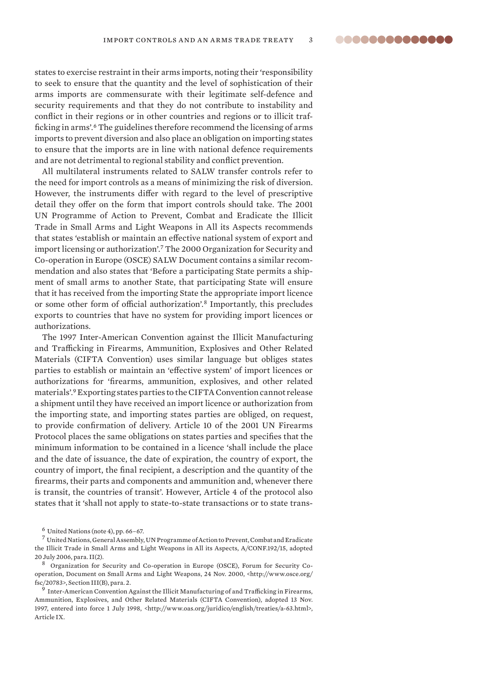..............

states to exercise restraint in their arms imports, noting their 'responsibility to seek to ensure that the quantity and the level of sophistication of their arms imports are commensurate with their legitimate self-defence and security requirements and that they do not contribute to instability and conflict in their regions or in other countries and regions or to illicit trafficking in arms'.<sup>6</sup> The guidelines therefore recommend the licensing of arms imports to prevent diversion and also place an obligation on importing states to ensure that the imports are in line with national defence requirements and are not detrimental to regional stability and conflict prevention.

All multilateral instruments related to SALW transfer controls refer to the need for import controls as a means of minimizing the risk of diversion. However, the instruments differ with regard to the level of prescriptive detail they offer on the form that import controls should take. The 2001 UN Programme of Action to Prevent, Combat and Eradicate the Illicit Trade in Small Arms and Light Weapons in All its Aspects recommends that states 'establish or maintain an effective national system of export and import licensing or authorization'.<sup>7</sup> The 2000 Organization for Security and Co-operation in Europe (OSCE) SALW Document contains a similar recommendation and also states that 'Before a participating State permits a shipment of small arms to another State, that participating State will ensure that it has received from the importing State the appropriate import licence or some other form of official authorization'.<sup>8</sup> Importantly, this precludes exports to countries that have no system for providing import licences or authorizations.

The 1997 Inter-American Convention against the Illicit Manufacturing and Trafficking in Firearms, Ammunition, Explosives and Other Related Materials (CIFTA Convention) uses similar language but obliges states parties to establish or maintain an 'effective system' of import licences or authorizations for 'firearms, ammunition, explosives, and other related materials'.<sup>9</sup> Exporting states parties to the CIFTA Convention cannot release a shipment until they have received an import licence or authorization from the importing state, and importing states parties are obliged, on request, to provide confirmation of delivery. Article 10 of the 2001 UN Firearms Protocol places the same obligations on states parties and specifies that the minimum information to be contained in a licence 'shall include the place and the date of issuance, the date of expiration, the country of export, the country of import, the final recipient, a description and the quantity of the firearms, their parts and components and ammunition and, whenever there is transit, the countries of transit'. However, Article 4 of the protocol also states that it 'shall not apply to state-to-state transactions or to state trans-

 $6$  United Nations (note 4), pp. 66-67.

<sup>7</sup>United Nations, General Assembly, UN Programme of Action to Prevent, Combat and Eradicate the Illicit Trade in Small Arms and Light Weapons in All its Aspects, A/CONF.192/15, adopted 20 July 2006, para. II(2).

<sup>8</sup>Organization for Security and Co-operation in Europe (OSCE), Forum for Security Cooperation, Document on Small Arms and Light Weapons, 24 Nov. 2000, <http://www.osce.org/ fsc/20783>, Section III(B), para. 2.

<sup>&</sup>lt;sup>9</sup> Inter-American Convention Against the Illicit Manufacturing of and Trafficking in Firearms, Ammunition, Explosives, and Other Related Materials (CIFTA Convention), adopted 13 Nov. 1997, entered into force 1 July 1998, <http://www.oas.org/juridico/english/treaties/a-63.html>, Article IX.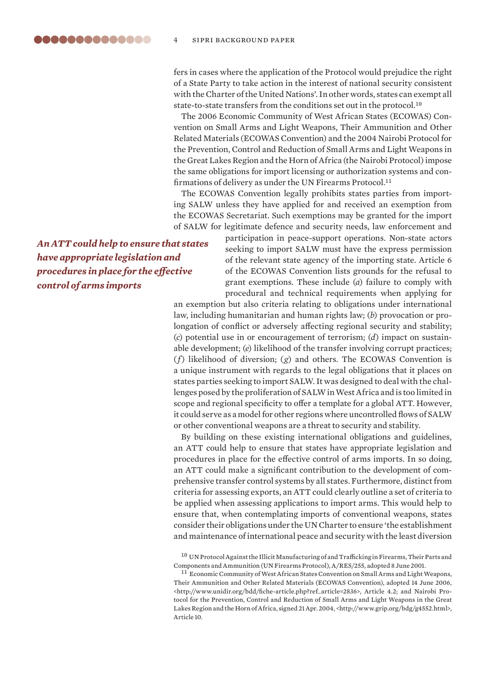fers in cases where the application of the Protocol would prejudice the right of a State Party to take action in the interest of national security consistent with the Charter of the United Nations'. In other words, states can exempt all state-to-state transfers from the conditions set out in the protocol.<sup>10</sup>

The 2006 Economic Community of West African States (ECOWAS) Convention on Small Arms and Light Weapons, Their Ammunition and Other Related Materials (ECOWAS Convention) and the 2004 Nairobi Protocol for the Prevention, Control and Reduction of Small Arms and Light Weapons in the Great Lakes Region and the Horn of Africa (the Nairobi Protocol) impose the same obligations for import licensing or authorization systems and confirmations of delivery as under the UN Firearms Protocol.<sup>11</sup>

The ECOWAS Convention legally prohibits states parties from importing SALW unless they have applied for and received an exemption from the ECOWAS Secretariat. Such exemptions may be granted for the import of SALW for legitimate defence and security needs, law enforcement and

*An ATT could help to ensure that states have appropriate legislation and procedures in place for the effective control of arms imports*

participation in peace-support operations. Non-state actors seeking to import SALW must have the express permission of the relevant state agency of the importing state. Article 6 of the ECOWAS Convention lists grounds for the refusal to grant exemptions. These include (*a*) failure to comply with procedural and technical requirements when applying for

an exemption but also criteria relating to obligations under international law, including humanitarian and human rights law; (*b*) provocation or prolongation of conflict or adversely affecting regional security and stability; (*c*) potential use in or encouragement of terrorism; (*d*) impact on sustainable development; (*e*) likelihood of the transfer involving corrupt practices; (*f*) likelihood of diversion; (*g*) and others. The ECOWAS Convention is a unique instrument with regards to the legal obligations that it places on states parties seeking to import SALW. It was designed to deal with the challenges posed by the proliferation of SALW in West Africa and is too limited in scope and regional specificity to offer a template for a global ATT. However, it could serve as a model for other regions where uncontrolled flows of SALW or other conventional weapons are a threat to security and stability.

By building on these existing international obligations and guidelines, an ATT could help to ensure that states have appropriate legislation and procedures in place for the effective control of arms imports. In so doing, an ATT could make a significant contribution to the development of comprehensive transfer control systems by all states. Furthermore, distinct from criteria for assessing exports, an ATT could clearly outline a set of criteria to be applied when assessing applications to import arms. This would help to ensure that, when contemplating imports of conventional weapons, states consider their obligations under the UN Charter to ensure 'the establishment and maintenance of international peace and security with the least diversion

 $^{10}$  UN Protocol Against the Illicit Manufacturing of and Trafficking in Firearms, Their Parts and Components and Ammunition (UN Firearms Protocol), A/RES/255, adopted 8 June 2001.

<sup>11</sup> Economic Community of West African States Convention on Small Arms and Light Weapons, Their Ammunition and Other Related Materials (ECOWAS Convention), adopted 14 June 2006, <http://www.unidir.org/bdd/fiche-article.php?ref\_article=2836>, Article 4.2; and Nairobi Protocol for the Prevention, Control and Reduction of Small Arms and Light Weapons in the Great Lakes Region and the Horn of Africa, signed 21 Apr. 2004, <http://www.grip.org/bdg/g4552.html>, Article 10.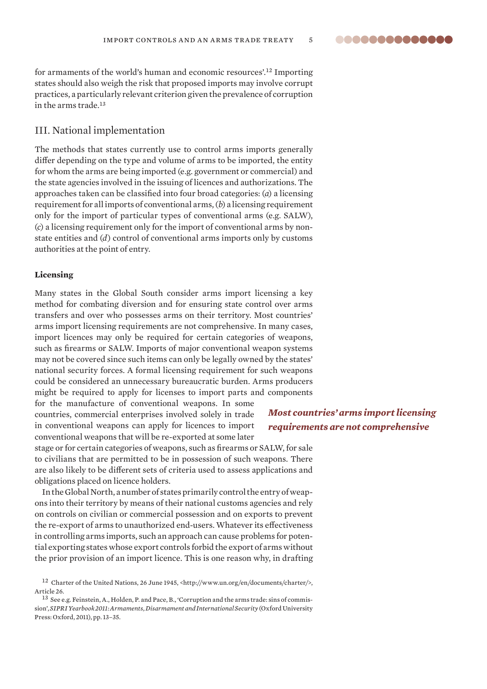..............

for armaments of the world's human and economic resources'.<sup>12</sup> Importing states should also weigh the risk that proposed imports may involve corrupt practices, a particularly relevant criterion given the prevalence of corruption in the arms trade.<sup>13</sup>

#### III. National implementation

The methods that states currently use to control arms imports generally differ depending on the type and volume of arms to be imported, the entity for whom the arms are being imported (e.g. government or commercial) and the state agencies involved in the issuing of licences and authorizations. The approaches taken can be classified into four broad categories: (*a*) a licensing requirement for all imports of conventional arms, (*b*) a licensing requirement only for the import of particular types of conventional arms (e.g. SALW), (*c*) a licensing requirement only for the import of conventional arms by nonstate entities and (*d*) control of conventional arms imports only by customs authorities at the point of entry.

#### **Licensing**

Many states in the Global South consider arms import licensing a key method for combating diversion and for ensuring state control over arms transfers and over who possesses arms on their territory. Most countries' arms import licensing requirements are not comprehensive. In many cases, import licences may only be required for certain categories of weapons, such as firearms or SALW. Imports of major conventional weapon systems may not be covered since such items can only be legally owned by the states' national security forces. A formal licensing requirement for such weapons could be considered an unnecessary bureaucratic burden. Arms producers might be required to apply for licenses to import parts and components

for the manufacture of conventional weapons. In some countries, commercial enterprises involved solely in trade in conventional weapons can apply for licences to import conventional weapons that will be re-exported at some later

stage or for certain categories of weapons, such as firearms or SALW, for sale to civilians that are permitted to be in possession of such weapons. There are also likely to be different sets of criteria used to assess applications and obligations placed on licence holders.

In the Global North, a number of states primarily control the entry of weapons into their territory by means of their national customs agencies and rely on controls on civilian or commercial possession and on exports to prevent the re-export of arms to unauthorized end-users. Whatever its effectiveness in controlling arms imports, such an approach can cause problems for potential exporting states whose export controls forbid the export of arms without the prior provision of an import licence. This is one reason why, in drafting

## *Most countries' arms import licensing requirements are not comprehensive*

<sup>12</sup> Charter of the United Nations, 26 June 1945, <http://www.un.org/en/documents/charter/>, Article 26.

<sup>&</sup>lt;sup>13</sup> See e.g. Feinstein, A., Holden, P. and Pace, B., 'Corruption and the arms trade: sins of commission', *SIPRI Yearbook 2011: Armaments, Disarmament and International Security* (Oxford University Press: Oxford, 2011), pp. 13–35.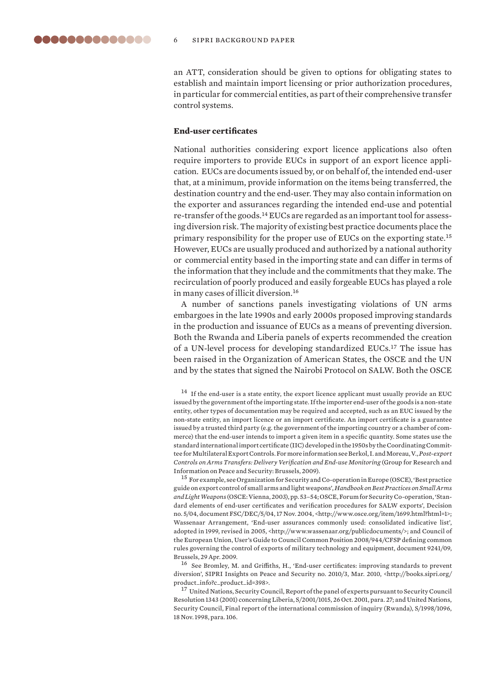an ATT, consideration should be given to options for obligating states to establish and maintain import licensing or prior authorization procedures, in particular for commercial entities, as part of their comprehensive transfer control systems.

#### **End-user certificates**

National authorities considering export licence applications also often require importers to provide EUCs in support of an export licence application. EUCs are documents issued by, or on behalf of, the intended end-user that, at a minimum, provide information on the items being transferred, the destination country and the end-user. They may also contain information on the exporter and assurances regarding the intended end-use and potential re-transfer of the goods.14 EUCs are regarded as an important tool for assessing diversion risk. The majority of existing best practice documents place the primary responsibility for the proper use of EUCs on the exporting state.<sup>15</sup> However, EUCs are usually produced and authorized by a national authority or commercial entity based in the importing state and can differ in terms of the information that they include and the commitments that they make. The recirculation of poorly produced and easily forgeable EUCs has played a role in many cases of illicit diversion.<sup>16</sup>

A number of sanctions panels investigating violations of UN arms embargoes in the late 1990s and early 2000s proposed improving standards in the production and issuance of EUCs as a means of preventing diversion. Both the Rwanda and Liberia panels of experts recommended the creation of a UN-level process for developing standardized EUCs.<sup>17</sup> The issue has been raised in the Organization of American States, the OSCE and the UN and by the states that signed the Nairobi Protocol on SALW. Both the OSCE

 $^{14}\,$  If the end-user is a state entity, the export licence applicant must usually provide an EUC issued by the government of the importing state. If the importer end-user of the goods is a non-state entity, other types of documentation may be required and accepted, such as an EUC issued by the non-state entity, an import licence or an import certificate. An import certificate is a guarantee issued by a trusted third party (e.g. the government of the importing country or a chamber of commerce) that the end-user intends to import a given item in a specific quantity. Some states use the standard international import certificate (IIC) developed in the 1950s by the Coordinating Committee for Multilateral Export Controls. For more information see Berkol, I. and Moreau, V., *Post-export Controls on Arms Transfers: Delivery Verification and End-use Monitoring* (Group for Research and Information on Peace and Security: Brussels, 2009).

<sup>15</sup> For example, see Organization for Security and Co-operation in Europe (OSCE), 'Best practice guide on export control of small arms and light weapons', *Handbook on Best Practices on Small Arms and Light Weapons* (OSCE: Vienna, 2003), pp. 53–54; OSCE, Forum for Security Co-operation, 'Standard elements of end-user certificates and verification procedures for SALW exports', Decision no. 5/04, document FSC/DEC/5/04, 17 Nov. 2004, <http://www.osce.org/item/1699.html?html=1>; Wassenaar Arrangement, 'End-user assurances commonly used: consolidated indicative list', adopted in 1999, revised in 2005, <http://www.wassenaar.org/publicdocuments/>; and Council of the European Union, User's Guide to Council Common Position 2008/944/CFSP defining common rules governing the control of exports of military technology and equipment, document 9241/09, Brussels, 29 Apr. 2009.

<sup>16</sup> See Bromley, M. and Griffiths, H., 'End-user certificates: improving standards to prevent diversion', SIPRI Insights on Peace and Security no. 2010/3, Mar. 2010, <http://books.sipri.org/ product\_info?c\_product\_id=398>.

<sup>17</sup> United Nations, Security Council, Report of the panel of experts pursuant to Security Council Resolution 1343 (2001) concerning Liberia, S/2001/1015, 26 Oct. 2001, para. 27; and United Nations, Security Council, Final report of the international commission of inquiry (Rwanda), S/1998/1096, 18 Nov. 1998, para. 106.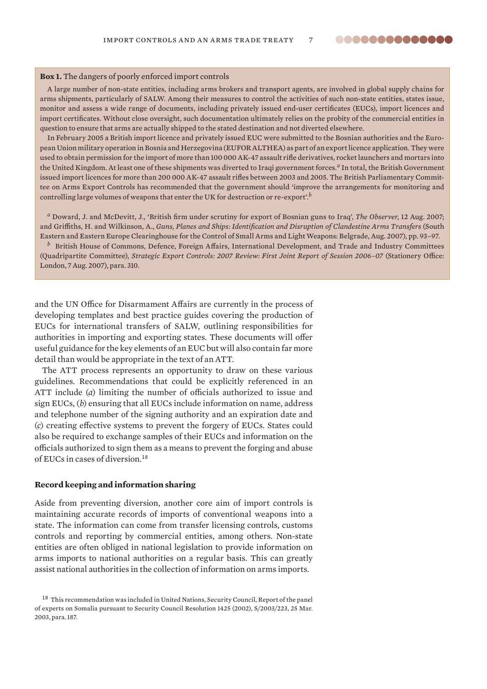#### **Box 1.** The dangers of poorly enforced import controls

A large number of non-state entities, including arms brokers and transport agents, are involved in global supply chains for arms shipments, particularly of SALW. Among their measures to control the activities of such non-state entities, states issue, monitor and assess a wide range of documents, including privately issued end-user certificates (EUCs), import licences and import certificates. Without close oversight, such documentation ultimately relies on the probity of the commercial entities in question to ensure that arms are actually shipped to the stated destination and not diverted elsewhere.

In February 2005 a British import licence and privately issued EUC were submitted to the Bosnian authorities and the European Union military operation in Bosnia and Herzegovina (EUFOR ALTHEA) as part of an export licence application. They were used to obtain permission for the import of more than 100 000 AK-47 assault rifle derivatives, rocket launchers and mortars into the United Kingdom. At least one of these shipments was diverted to Iraqi government forces.*a* In total, the British Government issued import licences for more than 200 000 AK-47 assault rifles between 2003 and 2005. The British Parliamentary Committee on Arms Export Controls has recommended that the government should 'improve the arrangements for monitoring and controlling large volumes of weapons that enter the UK for destruction or re-export'.*<sup>b</sup>*

*<sup>a</sup>* Doward, J. and McDevitt, J., 'British firm under scrutiny for export of Bosnian guns to Iraq', *The Observer*, 12 Aug. 2007; and Griffiths, H. and Wilkinson, A., *Guns, Planes and Ships: Identification and Disruption of Clandestine Arms Transfers* (South Eastern and Eastern Europe Clearinghouse for the Control of Small Arms and Light Weapons: Belgrade, Aug. 2007), pp. 93–97. *<sup>b</sup>* British House of Commons, Defence, Foreign Affairs, International Development, and Trade and Industry Committees

(Quadripartite Committee), *Strategic Export Controls: 2007 Review: First Joint Report of Session 2006–07* (Stationery Office: London, 7 Aug. 2007), para. 310.

and the UN Office for Disarmament Affairs are currently in the process of developing templates and best practice guides covering the production of EUCs for international transfers of SALW, outlining responsibilities for author ities in importing and exporting states. These documents will offer useful guidance for the key elements of an EUC but will also contain far more detail than would be appropriate in the text of an ATT.

The ATT process represents an opportunity to draw on these various guide lines. Recommendations that could be explicitly referenced in an ATT include (*a*) limiting the number of officials authorized to issue and sign EUCs, (*b*) ensuring that all EUCs include information on name, address and telephone number of the signing authority and an expiration date and (*c*) creating effective systems to prevent the forgery of EUCs. States could also be required to exchange samples of their EUCs and information on the officials authorized to sign them as a means to prevent the forging and abuse of EUCs in cases of diversion.<sup>18</sup>

#### **Record keeping and information sharing**

Aside from preventing diversion, another core aim of import controls is maintaining accurate records of imports of conventional weapons into a state. The information can come from transfer licensing controls, customs controls and reporting by commercial entities, among others. Non-state entities are often obliged in national legislation to provide information on arms imports to national authorities on a regular basis. This can greatly assist national authorities in the collection of information on arms imports.

<sup>&</sup>lt;sup>18</sup> This recommendation was included in United Nations, Security Council, Report of the panel of experts on Somalia pursuant to Security Council Resolution 1425 (2002), S/2003/223, 25 Mar. 2003, para. 187.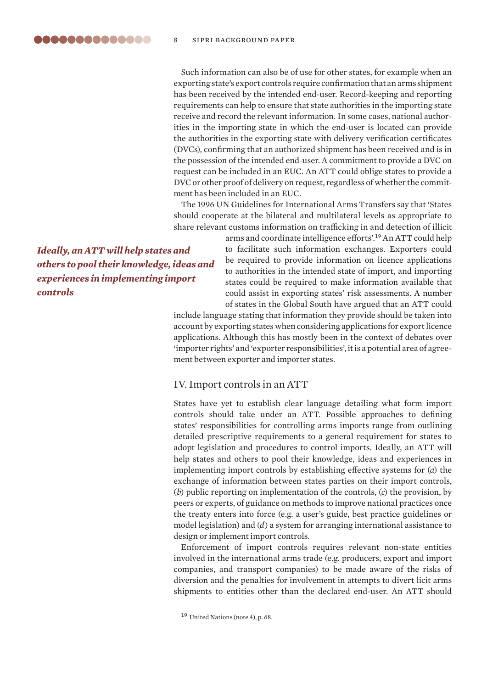Such information can also be of use for other states, for example when an exporting state's export controls require confirmation that an arms shipment has been received by the intended end-user. Record-keeping and reporting requirements can help to ensure that state authorities in the importing state receive and record the relevant information. In some cases, national authorities in the importing state in which the end-user is located can provide the authorities in the exporting state with delivery verification certificates (DVCs), confirming that an authorized shipment has been received and is in the possession of the intended end-user. A commitment to provide a DVC on request can be included in an EUC. An ATT could oblige states to provide a DVC or other proof of delivery on request, regardless of whether the commitment has been included in an EUC.

The 1996 UN Guidelines for International Arms Transfers say that 'States should cooperate at the bilateral and multilateral levels as appropriate to share relevant customs information on trafficking in and detection of illicit

*Ideally, an ATT will help states and others to pool their knowledge, ideas and experiences in implementing import controls*

arms and coordinate intelligence efforts'.<sup>19</sup> An ATT could help to facilitate such information exchanges. Exporters could be required to provide information on licence applications to authorities in the intended state of import, and importing states could be required to make information available that could assist in exporting states' risk assessments. A number of states in the Global South have argued that an ATT could

include language stating that information they provide should be taken into account by exporting states when considering applications for export licence applications. Although this has mostly been in the context of debates over 'importer rights' and 'exporter responsibilities', it is a potential area of agreement between exporter and importer states.

#### IV. Import controls in an ATT

States have yet to establish clear language detailing what form import controls should take under an ATT. Possible approaches to defining states' responsibilities for controlling arms imports range from outlining detailed prescriptive requirements to a general requirement for states to adopt legislation and procedures to control imports. Ideally, an ATT will help states and others to pool their knowledge, ideas and experiences in implementing import controls by establishing effective systems for (*a*) the exchange of information between states parties on their import controls, (*b*) public reporting on implementation of the controls, (*c*) the provision, by peers or experts, of guidance on methods to improve national practices once the treaty enters into force (e.g. a user's guide, best practice guidelines or model legislation) and (*d*) a system for arranging international assistance to design or implement import controls.

Enforcement of import controls requires relevant non-state entities involved in the international arms trade (e.g. producers, export and import companies, and transport companies) to be made aware of the risks of diversion and the penalties for involvement in attempts to divert licit arms ship ments to entities other than the declared end-user. An ATT should

<sup>&</sup>lt;sup>19</sup> United Nations (note 4), p. 68.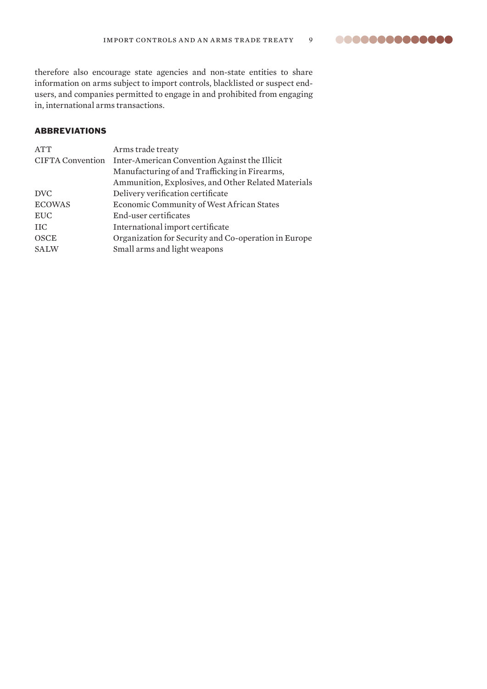00000000000000

therefore also encourage state agencies and non-state entities to share information on arms subject to import controls, blacklisted or suspect endusers, and companies permitted to engage in and prohibited from engaging in, international arms transactions.

## ABBREVIATIONS

| Arms trade treaty                                    |
|------------------------------------------------------|
| Inter-American Convention Against the Illicit        |
| Manufacturing of and Trafficking in Firearms,        |
| Ammunition, Explosives, and Other Related Materials  |
| Delivery verification certificate                    |
| Economic Community of West African States            |
| End-user certificates                                |
| International import certificate                     |
| Organization for Security and Co-operation in Europe |
| Small arms and light weapons                         |
|                                                      |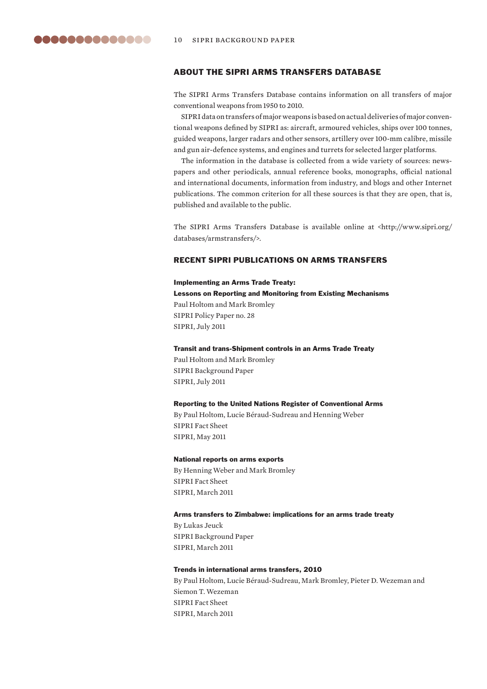

#### ABOUT THE SIPRI ARMS TRANSFERS DATABASE

The SIPRI Arms Transfers Database contains information on all transfers of major conventional weapons from 1950 to 2010.

SIPRI data on transfers of major weapons is based on actual deliveries of major conventional weapons defined by SIPRI as: aircraft, armoured vehicles, ships over 100 tonnes, guided weapons, larger radars and other sensors, artillery over 100-mm calibre, missile and gun air-defence systems, and engines and turrets for selected larger platforms.

The information in the database is collected from a wide variety of sources: newspapers and other periodicals, annual reference books, monographs, official national and international documents, information from industry, and blogs and other Internet publications. The common criterion for all these sources is that they are open, that is, published and available to the public.

The SIPRI Arms Transfers Database is available online at <http://www.sipri.org/ databases/armstransfers/>.

#### RECENT SIPRI PUBLICATIONS ON ARMS TRANSFERS

#### Implementing an Arms Trade Treaty:

Lessons on Reporting and Monitoring from Existing Mechanisms Paul Holtom and Mark Bromley SIPRI Policy Paper no. 28 SIPRI, July 2011

#### Transit and trans-Shipment controls in an Arms Trade Treaty

Paul Holtom and Mark Bromley SIPRI Background Paper SIPRI, July 2011

#### Reporting to the United Nations Register of Conventional Arms

By Paul Holtom, Lucie Béraud-Sudreau and Henning Weber SIPRI Fact Sheet SIPRI, May 2011

#### National reports on arms exports

By Henning Weber and Mark Bromley SIPRI Fact Sheet SIPRI, March 2011

#### Arms transfers to Zimbabwe: implications for an arms trade treaty

By Lukas Jeuck SIPRI Background Paper SIPRI, March 2011

#### Trends in international arms transfers, 2010

By Paul Holtom, Lucie Béraud-Sudreau, Mark Bromley, Pieter D. Wezeman and Siemon T. Wezeman SIPRI Fact Sheet SIPRI, March 2011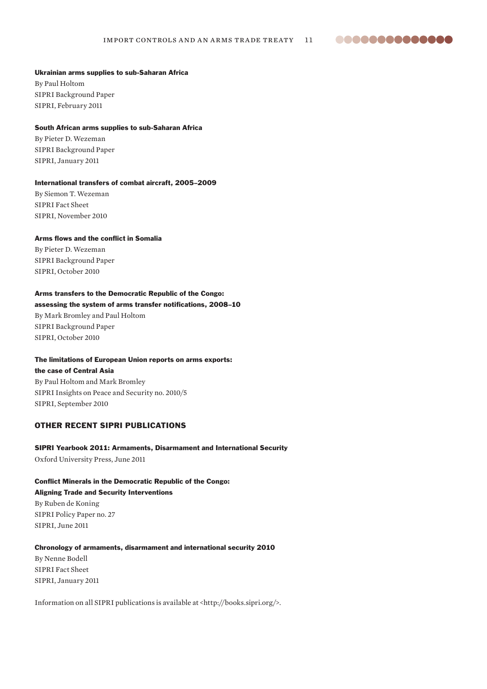88888888888888

#### Ukrainian arms supplies to sub-Saharan Africa

By Paul Holtom SIPRI Background Paper SIPRI, February 2011

#### South African arms supplies to sub-Saharan Africa

By Pieter D. Wezeman SIPRI Background Paper SIPRI, January 2011

#### International transfers of combat aircraft, 2005–2009

By Siemon T. Wezeman SIPRI Fact Sheet SIPRI, November 2010

#### Arms flows and the conflict in Somalia

By Pieter D. Wezeman SIPRI Background Paper SIPRI, October 2010

#### Arms transfers to the Democratic Republic of the Congo:

#### assessing the system of arms transfer notifications, 2008–10

By Mark Bromley and Paul Holtom SIPRI Background Paper SIPRI, October 2010

#### The limitations of European Union reports on arms exports:

the case of Central Asia By Paul Holtom and Mark Bromley SIPRI Insights on Peace and Security no. 2010/5 SIPRI, September 2010

#### OTHER RECENT SIPRI PUBLICATIONS

#### SIPRI Yearbook 2011: Armaments, Disarmament and International Security Oxford University Press, June 2011

#### Conflict Minerals in the Democratic Republic of the Congo: Aligning Trade and Security Interventions

By Ruben de Koning SIPRI Policy Paper no. 27 SIPRI, June 2011

#### Chronology of armaments, disarmament and international security 2010

By Nenne Bodell SIPRI Fact Sheet SIPRI, January 2011

Information on all SIPRI publications is available at <http://books.sipri.org/>.